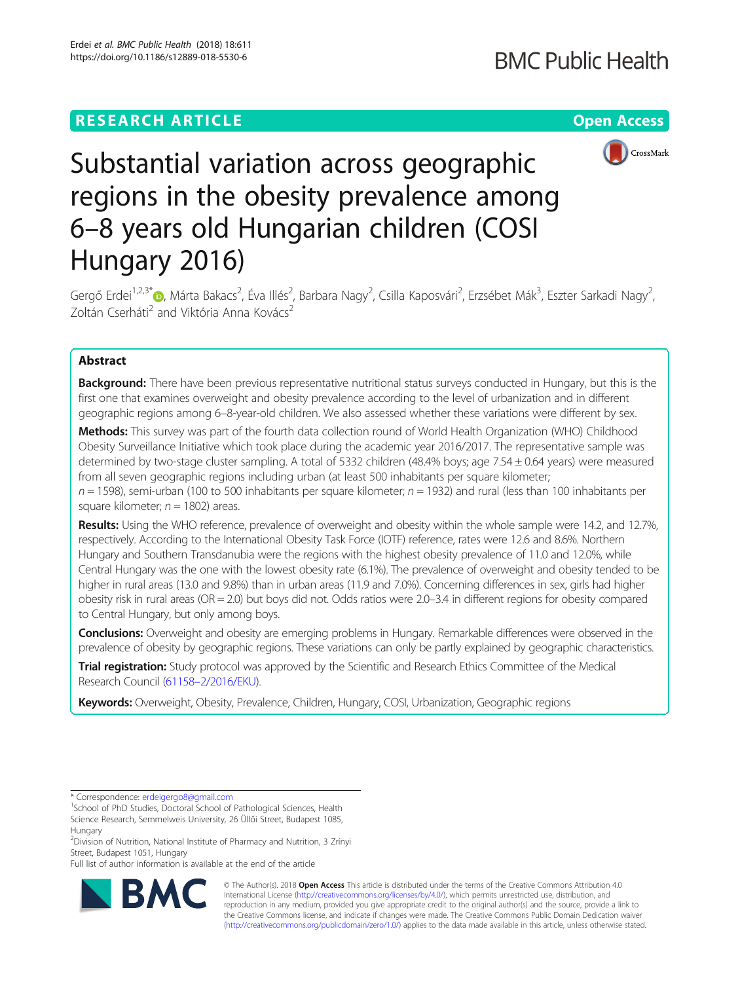# **RESEARCH ARTICLE Example 2018 12:30 THE Open Access**



# Substantial variation across geographic regions in the obesity prevalence among 6–8 years old Hungarian children (COSI Hungary 2016)

Gergő Erdei<sup>1[,](http://orcid.org/0000-0002-5182-8612)2,3\*</sup>®, Márta Bakacs<sup>2</sup>, Éva Illés<sup>2</sup>, Barbara Nagy<sup>2</sup>, Csilla Kaposvári<sup>2</sup>, Erzsébet Mák<sup>3</sup>, Eszter Sarkadi Nagy<sup>2</sup> , Zoltán Cserháti<sup>2</sup> and Viktória Anna Kovács<sup>2</sup>

# Abstract

**Background:** There have been previous representative nutritional status surveys conducted in Hungary, but this is the first one that examines overweight and obesity prevalence according to the level of urbanization and in different geographic regions among 6–8-year-old children. We also assessed whether these variations were different by sex.

Methods: This survey was part of the fourth data collection round of World Health Organization (WHO) Childhood Obesity Surveillance Initiative which took place during the academic year 2016/2017. The representative sample was determined by two-stage cluster sampling. A total of 5332 children (48.4% boys; age 7.54 ± 0.64 years) were measured from all seven geographic regions including urban (at least 500 inhabitants per square kilometer;  $n = 1598$ ), semi-urban (100 to 500 inhabitants per square kilometer;  $n = 1932$ ) and rural (less than 100 inhabitants per

square kilometer;  $n = 1802$ ) areas.

Results: Using the WHO reference, prevalence of overweight and obesity within the whole sample were 14.2, and 12.7%, respectively. According to the International Obesity Task Force (IOTF) reference, rates were 12.6 and 8.6%. Northern Hungary and Southern Transdanubia were the regions with the highest obesity prevalence of 11.0 and 12.0%, while Central Hungary was the one with the lowest obesity rate (6.1%). The prevalence of overweight and obesity tended to be higher in rural areas (13.0 and 9.8%) than in urban areas (11.9 and 7.0%). Concerning differences in sex, girls had higher obesity risk in rural areas ( $OR = 2.0$ ) but boys did not. Odds ratios were 2.0–3.4 in different regions for obesity compared to Central Hungary, but only among boys.

Conclusions: Overweight and obesity are emerging problems in Hungary. Remarkable differences were observed in the prevalence of obesity by geographic regions. These variations can only be partly explained by geographic characteristics.

Trial registration: Study protocol was approved by the Scientific and Research Ethics Committee of the Medical Research Council (61158–[2/2016/EKU](https://ett.aeek.hu/tukeb/eng2016/)).

Keywords: Overweight, Obesity, Prevalence, Children, Hungary, COSI, Urbanization, Geographic regions

Full list of author information is available at the end of the article



© The Author(s). 2018 Open Access This article is distributed under the terms of the Creative Commons Attribution 4.0 International License [\(http://creativecommons.org/licenses/by/4.0/](http://creativecommons.org/licenses/by/4.0/)), which permits unrestricted use, distribution, and reproduction in any medium, provided you give appropriate credit to the original author(s) and the source, provide a link to the Creative Commons license, and indicate if changes were made. The Creative Commons Public Domain Dedication waiver [\(http://creativecommons.org/publicdomain/zero/1.0/](http://creativecommons.org/publicdomain/zero/1.0/)) applies to the data made available in this article, unless otherwise stated.

<sup>\*</sup> Correspondence: [erdeigergo8@gmail.com](mailto:erdeigergo8@gmail.com) <sup>1</sup>

<sup>&</sup>lt;sup>1</sup>School of PhD Studies, Doctoral School of Pathological Sciences, Health Science Research, Semmelweis University, 26 Üllői Street, Budapest 1085,

Hungary <sup>2</sup> Division of Nutrition, National Institute of Pharmacy and Nutrition, 3 Zrínyi

Street, Budapest 1051, Hungary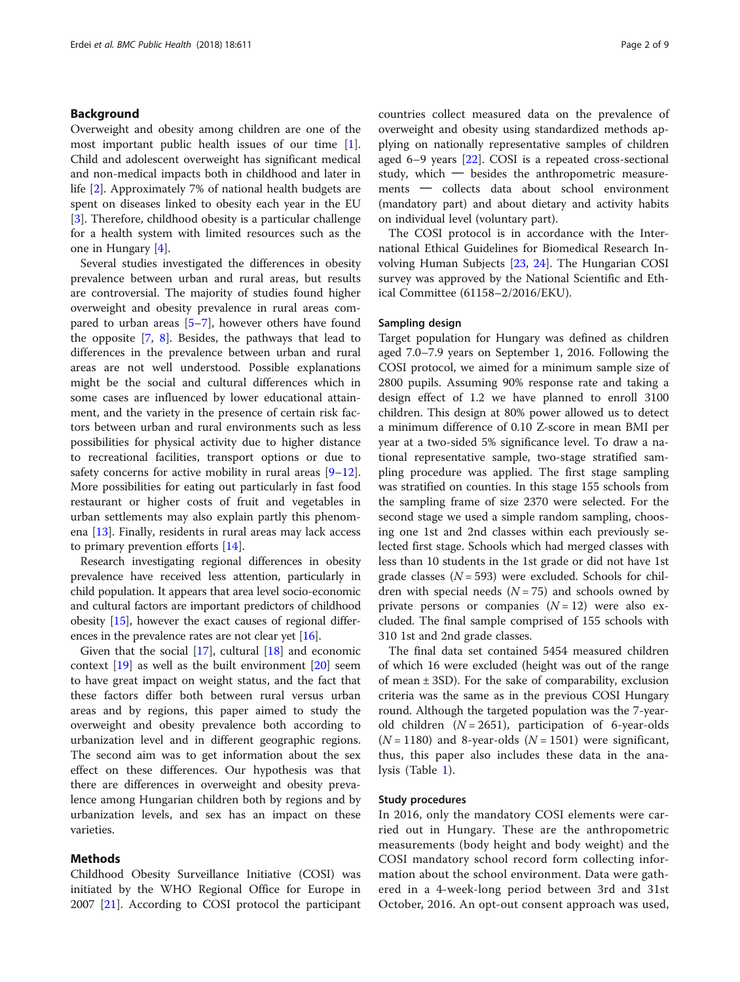# Background

Overweight and obesity among children are one of the most important public health issues of our time [\[1](#page-7-0)]. Child and adolescent overweight has significant medical and non-medical impacts both in childhood and later in life [\[2](#page-7-0)]. Approximately 7% of national health budgets are spent on diseases linked to obesity each year in the EU [[3\]](#page-7-0). Therefore, childhood obesity is a particular challenge for a health system with limited resources such as the one in Hungary [\[4\]](#page-7-0).

Several studies investigated the differences in obesity prevalence between urban and rural areas, but results are controversial. The majority of studies found higher overweight and obesity prevalence in rural areas compared to urban areas [\[5](#page-7-0)–[7](#page-7-0)], however others have found the opposite [[7,](#page-7-0) [8](#page-7-0)]. Besides, the pathways that lead to differences in the prevalence between urban and rural areas are not well understood. Possible explanations might be the social and cultural differences which in some cases are influenced by lower educational attainment, and the variety in the presence of certain risk factors between urban and rural environments such as less possibilities for physical activity due to higher distance to recreational facilities, transport options or due to safety concerns for active mobility in rural areas  $[9-12]$  $[9-12]$  $[9-12]$  $[9-12]$  $[9-12]$ . More possibilities for eating out particularly in fast food restaurant or higher costs of fruit and vegetables in urban settlements may also explain partly this phenomena [\[13](#page-7-0)]. Finally, residents in rural areas may lack access to primary prevention efforts [[14\]](#page-7-0).

Research investigating regional differences in obesity prevalence have received less attention, particularly in child population. It appears that area level socio-economic and cultural factors are important predictors of childhood obesity [[15](#page-8-0)], however the exact causes of regional differences in the prevalence rates are not clear yet [[16](#page-8-0)].

Given that the social  $[17]$  $[17]$ , cultural  $[18]$  $[18]$  and economic context [\[19\]](#page-8-0) as well as the built environment [\[20\]](#page-8-0) seem to have great impact on weight status, and the fact that these factors differ both between rural versus urban areas and by regions, this paper aimed to study the overweight and obesity prevalence both according to urbanization level and in different geographic regions. The second aim was to get information about the sex effect on these differences. Our hypothesis was that there are differences in overweight and obesity prevalence among Hungarian children both by regions and by urbanization levels, and sex has an impact on these varieties.

# Methods

Childhood Obesity Surveillance Initiative (COSI) was initiated by the WHO Regional Office for Europe in 2007 [[21\]](#page-8-0). According to COSI protocol the participant countries collect measured data on the prevalence of overweight and obesity using standardized methods applying on nationally representative samples of children aged 6–9 years [[22\]](#page-8-0). COSI is a repeated cross-sectional study, which  $-$  besides the anthropometric measurements ─ collects data about school environment (mandatory part) and about dietary and activity habits on individual level (voluntary part).

The COSI protocol is in accordance with the International Ethical Guidelines for Biomedical Research Involving Human Subjects [[23](#page-8-0), [24](#page-8-0)]. The Hungarian COSI survey was approved by the National Scientific and Ethical Committee (61158–2/2016/EKU).

# Sampling design

Target population for Hungary was defined as children aged 7.0–7.9 years on September 1, 2016. Following the COSI protocol, we aimed for a minimum sample size of 2800 pupils. Assuming 90% response rate and taking a design effect of 1.2 we have planned to enroll 3100 children. This design at 80% power allowed us to detect a minimum difference of 0.10 Z-score in mean BMI per year at a two-sided 5% significance level. To draw a national representative sample, two-stage stratified sampling procedure was applied. The first stage sampling was stratified on counties. In this stage 155 schools from the sampling frame of size 2370 were selected. For the second stage we used a simple random sampling, choosing one 1st and 2nd classes within each previously selected first stage. Schools which had merged classes with less than 10 students in the 1st grade or did not have 1st grade classes ( $N = 593$ ) were excluded. Schools for children with special needs  $(N = 75)$  and schools owned by private persons or companies  $(N = 12)$  were also excluded. The final sample comprised of 155 schools with 310 1st and 2nd grade classes.

The final data set contained 5454 measured children of which 16 were excluded (height was out of the range of mean ± 3SD). For the sake of comparability, exclusion criteria was the same as in the previous COSI Hungary round. Although the targeted population was the 7-yearold children  $(N = 2651)$ , participation of 6-year-olds  $(N = 1180)$  and 8-year-olds  $(N = 1501)$  were significant, thus, this paper also includes these data in the analysis (Table [1](#page-2-0)).

#### Study procedures

In 2016, only the mandatory COSI elements were carried out in Hungary. These are the anthropometric measurements (body height and body weight) and the COSI mandatory school record form collecting information about the school environment. Data were gathered in a 4-week-long period between 3rd and 31st October, 2016. An opt-out consent approach was used,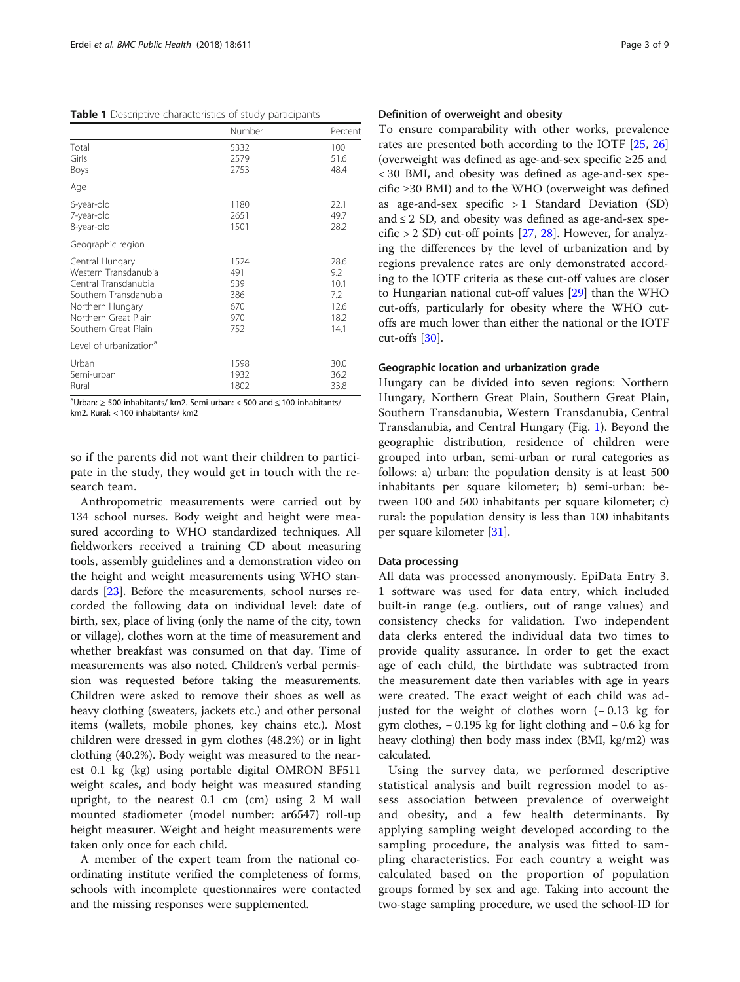<span id="page-2-0"></span>Table 1 Descriptive characteristics of study participants

|                                    | Number | Percent |
|------------------------------------|--------|---------|
| Total                              | 5332   | 100     |
| Girls                              | 2579   | 51.6    |
| Boys                               | 2753   | 48.4    |
| Age                                |        |         |
| 6-year-old                         | 1180   | 22.1    |
| 7-year-old                         | 2651   | 49.7    |
| 8-year-old                         | 1501   | 28.2    |
| Geographic region                  |        |         |
| Central Hungary                    | 1524   | 28.6    |
| Western Transdanubia               | 491    | 9.2     |
| Central Transdanubia               | 539    | 10.1    |
| Southern Transdanubia              | 386    | 7.2     |
| Northern Hungary                   | 670    | 12.6    |
| Northern Great Plain               | 970    | 18.2    |
| Southern Great Plain               | 752    | 14.1    |
| Level of urbanization <sup>a</sup> |        |         |
| Urban                              | 1598   | 30.0    |
| Semi-urban                         | 1932   | 36.2    |
| Rural                              | 1802   | 33.8    |

 $a<sup>a</sup>$ Urban:  $\geq$  500 inhabitants/ km2. Semi-urban: < 500 and  $\leq$  100 inhabitants/ km2. Rural: < 100 inhabitants/ km2

so if the parents did not want their children to participate in the study, they would get in touch with the research team.

Anthropometric measurements were carried out by 134 school nurses. Body weight and height were measured according to WHO standardized techniques. All fieldworkers received a training CD about measuring tools, assembly guidelines and a demonstration video on the height and weight measurements using WHO standards [\[23\]](#page-8-0). Before the measurements, school nurses recorded the following data on individual level: date of birth, sex, place of living (only the name of the city, town or village), clothes worn at the time of measurement and whether breakfast was consumed on that day. Time of measurements was also noted. Children's verbal permission was requested before taking the measurements. Children were asked to remove their shoes as well as heavy clothing (sweaters, jackets etc.) and other personal items (wallets, mobile phones, key chains etc.). Most children were dressed in gym clothes (48.2%) or in light clothing (40.2%). Body weight was measured to the nearest 0.1 kg (kg) using portable digital OMRON BF511 weight scales, and body height was measured standing upright, to the nearest 0.1 cm (cm) using 2 M wall mounted stadiometer (model number: ar6547) roll-up height measurer. Weight and height measurements were taken only once for each child.

A member of the expert team from the national coordinating institute verified the completeness of forms, schools with incomplete questionnaires were contacted and the missing responses were supplemented.

# Definition of overweight and obesity

To ensure comparability with other works, prevalence rates are presented both according to the IOTF [\[25,](#page-8-0) [26](#page-8-0)] (overweight was defined as age-and-sex specific ≥25 and < 30 BMI, and obesity was defined as age-and-sex specific ≥30 BMI) and to the WHO (overweight was defined as age-and-sex specific > 1 Standard Deviation (SD) and  $\leq$  2 SD, and obesity was defined as age-and-sex spe- $\text{cific} > 2 \text{ SD}$  cut-off points [\[27](#page-8-0), [28](#page-8-0)]. However, for analyzing the differences by the level of urbanization and by regions prevalence rates are only demonstrated according to the IOTF criteria as these cut-off values are closer to Hungarian national cut-off values [\[29\]](#page-8-0) than the WHO cut-offs, particularly for obesity where the WHO cutoffs are much lower than either the national or the IOTF cut-offs [[30\]](#page-8-0).

#### Geographic location and urbanization grade

Hungary can be divided into seven regions: Northern Hungary, Northern Great Plain, Southern Great Plain, Southern Transdanubia, Western Transdanubia, Central Transdanubia, and Central Hungary (Fig. [1](#page-3-0)). Beyond the geographic distribution, residence of children were grouped into urban, semi-urban or rural categories as follows: a) urban: the population density is at least 500 inhabitants per square kilometer; b) semi-urban: between 100 and 500 inhabitants per square kilometer; c) rural: the population density is less than 100 inhabitants per square kilometer [[31\]](#page-8-0).

# Data processing

All data was processed anonymously. EpiData Entry 3. 1 software was used for data entry, which included built-in range (e.g. outliers, out of range values) and consistency checks for validation. Two independent data clerks entered the individual data two times to provide quality assurance. In order to get the exact age of each child, the birthdate was subtracted from the measurement date then variables with age in years were created. The exact weight of each child was adjusted for the weight of clothes worn (− 0.13 kg for gym clothes, − 0.195 kg for light clothing and − 0.6 kg for heavy clothing) then body mass index (BMI, kg/m2) was calculated.

Using the survey data, we performed descriptive statistical analysis and built regression model to assess association between prevalence of overweight and obesity, and a few health determinants. By applying sampling weight developed according to the sampling procedure, the analysis was fitted to sampling characteristics. For each country a weight was calculated based on the proportion of population groups formed by sex and age. Taking into account the two-stage sampling procedure, we used the school-ID for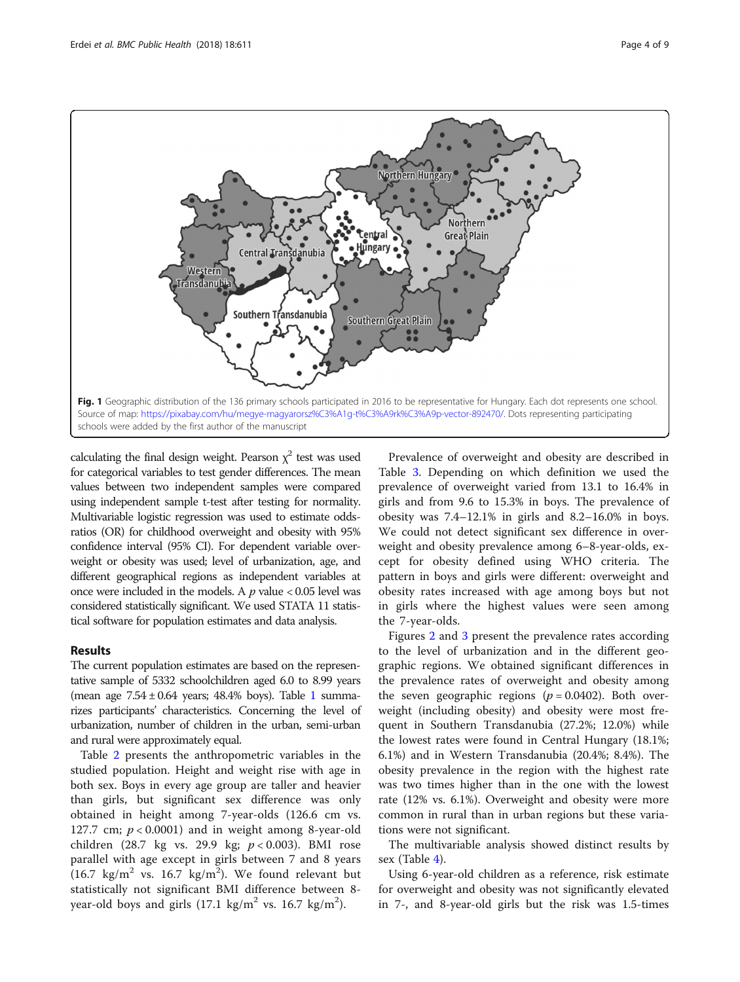<span id="page-3-0"></span>

calculating the final design weight. Pearson  $\chi^2$  test was used for categorical variables to test gender differences. The mean values between two independent samples were compared using independent sample t-test after testing for normality. Multivariable logistic regression was used to estimate oddsratios (OR) for childhood overweight and obesity with 95% confidence interval (95% CI). For dependent variable overweight or obesity was used; level of urbanization, age, and different geographical regions as independent variables at once were included in the models. A  $p$  value  $< 0.05$  level was considered statistically significant. We used STATA 11 statistical software for population estimates and data analysis.

# Results

The current population estimates are based on the representative sample of 5332 schoolchildren aged 6.0 to 8.99 years (mean age  $7.54 \pm 0.64$  years; 48.4% boys). Table [1](#page-2-0) summarizes participants' characteristics. Concerning the level of urbanization, number of children in the urban, semi-urban and rural were approximately equal.

Table [2](#page-4-0) presents the anthropometric variables in the studied population. Height and weight rise with age in both sex. Boys in every age group are taller and heavier than girls, but significant sex difference was only obtained in height among 7-year-olds (126.6 cm vs. 127.7 cm;  $p < 0.0001$ ) and in weight among 8-year-old children (28.7 kg vs. 29.9 kg; p < 0.003). BMI rose parallel with age except in girls between 7 and 8 years (16.7 kg/m<sup>2</sup> vs. 16.7 kg/m<sup>2</sup>). We found relevant but statistically not significant BMI difference between 8 year-old boys and girls  $(17.1 \text{ kg/m}^2 \text{ vs. } 16.7 \text{ kg/m}^2)$ .

Prevalence of overweight and obesity are described in Table [3](#page-4-0). Depending on which definition we used the prevalence of overweight varied from 13.1 to 16.4% in girls and from 9.6 to 15.3% in boys. The prevalence of obesity was 7.4–12.1% in girls and 8.2–16.0% in boys. We could not detect significant sex difference in overweight and obesity prevalence among 6–8-year-olds, except for obesity defined using WHO criteria. The pattern in boys and girls were different: overweight and obesity rates increased with age among boys but not in girls where the highest values were seen among the 7-year-olds.

Figures [2](#page-4-0) and [3](#page-5-0) present the prevalence rates according to the level of urbanization and in the different geographic regions. We obtained significant differences in the prevalence rates of overweight and obesity among the seven geographic regions  $(p = 0.0402)$ . Both overweight (including obesity) and obesity were most frequent in Southern Transdanubia (27.2%; 12.0%) while the lowest rates were found in Central Hungary (18.1%; 6.1%) and in Western Transdanubia (20.4%; 8.4%). The obesity prevalence in the region with the highest rate was two times higher than in the one with the lowest rate (12% vs. 6.1%). Overweight and obesity were more common in rural than in urban regions but these variations were not significant.

The multivariable analysis showed distinct results by sex (Table [4\)](#page-5-0).

Using 6-year-old children as a reference, risk estimate for overweight and obesity was not significantly elevated in 7-, and 8-year-old girls but the risk was 1.5-times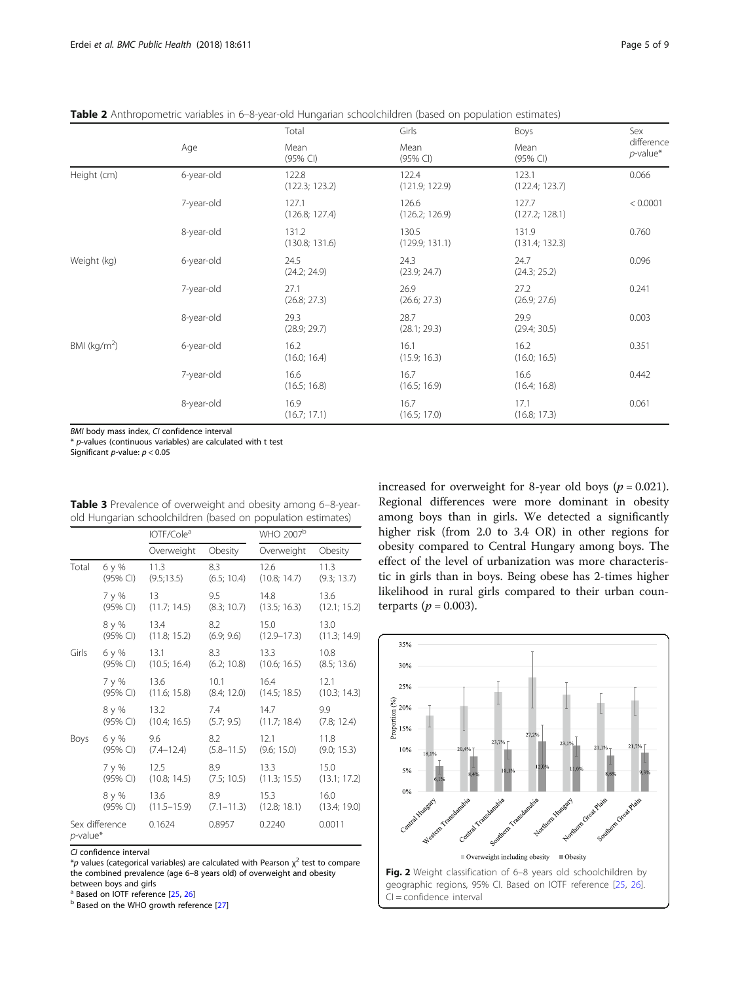<span id="page-4-0"></span>Table 2 Anthropometric variables in 6–8-year-old Hungarian schoolchildren (based on population estimates)

|                 |            | Total                   | Girls                   | Boys                    | Sex                       |  |
|-----------------|------------|-------------------------|-------------------------|-------------------------|---------------------------|--|
|                 | Age        | Mean<br>(95% CI)        | Mean<br>(95% Cl)        | Mean<br>$(95%$ CI)      | difference<br>$p$ -value* |  |
| Height (cm)     | 6-year-old | 122.8<br>(122.3; 123.2) | 122.4<br>(121.9; 122.9) | 123.1<br>(122.4; 123.7) | 0.066                     |  |
|                 | 7-year-old | 127.1<br>(126.8; 127.4) | 126.6<br>(126.2; 126.9) | 127.7<br>(127.2; 128.1) | < 0.0001                  |  |
|                 | 8-year-old | 131.2<br>(130.8; 131.6) | 130.5<br>(129.9; 131.1) | 131.9<br>(131.4; 132.3) | 0.760                     |  |
| Weight (kg)     | 6-year-old | 24.5<br>(24.2; 24.9)    | 24.3<br>(23.9; 24.7)    | 24.7<br>(24.3; 25.2)    | 0.096                     |  |
|                 | 7-year-old | 27.1<br>(26.8; 27.3)    | 26.9<br>(26.6; 27.3)    | 27.2<br>(26.9; 27.6)    | 0.241                     |  |
|                 | 8-year-old | 29.3<br>(28.9; 29.7)    | 28.7<br>(28.1; 29.3)    | 29.9<br>(29.4; 30.5)    | 0.003                     |  |
| BMI ( $kg/m2$ ) | 6-year-old | 16.2<br>(16.0; 16.4)    | 16.1<br>(15.9; 16.3)    | 16.2<br>(16.0; 16.5)    | 0.351                     |  |
|                 | 7-year-old | 16.6<br>(16.5; 16.8)    | 16.7<br>(16.5; 16.9)    | 16.6<br>(16.4; 16.8)    | 0.442                     |  |
|                 | 8-year-old | 16.9<br>(16.7; 17.1)    | 16.7<br>(16.5; 17.0)    | 17.1<br>(16.8; 17.3)    | 0.061                     |  |

BMI body mass index, CI confidence interval

 $*$  p-values (continuous variables) are calculated with t test

Significant *p*-value:  $p < 0.05$ 

|                               |          | IOTF/Cole <sup>a</sup>  |                | WHO 2007 <sup>b</sup> |              |  |
|-------------------------------|----------|-------------------------|----------------|-----------------------|--------------|--|
|                               |          | Overweight              | Obesity        | Overweight            | Obesity      |  |
| Total                         | 6у%      | 11.3                    | 8.3            | 12.6                  | 11.3         |  |
|                               | (95% CI) | (9.5;13.5)              | (6.5; 10.4)    | (10.8; 14.7)          | (9.3; 13.7)  |  |
|                               | 7 y %    | $13 \quad \blacksquare$ | 9.5            | 14.8                  | 13.6         |  |
|                               | (95% CI) | (11.7; 14.5)            | (8.3; 10.7)    | (13.5; 16.3)          | (12.1; 15.2) |  |
|                               | 8 y %    | 13.4                    | 8.2            | 15.0                  | 13.0         |  |
|                               | (95% CI) | (11.8; 15.2)            | (6.9; 9.6)     | $(12.9 - 17.3)$       | (11.3; 14.9) |  |
| Girls                         | 6у%      | 13.1                    | 8.3            | 13.3                  | 10.8         |  |
|                               | (95% CI) | (10.5; 16.4)            | (6.2; 10.8)    | (10.6; 16.5)          | (8.5; 13.6)  |  |
|                               | 7 y %    | 13.6                    | 10.1           | 16.4                  | 12.1         |  |
|                               | (95% CI) | (11.6; 15.8)            | (8.4; 12.0)    | (14.5; 18.5)          | (10.3; 14.3) |  |
|                               | 8 y %    | 13.2                    | 7.4            | 14.7                  | 9.9          |  |
|                               | (95% CI) | (10.4; 16.5)            | (5.7; 9.5)     | (11.7; 18.4)          | (7.8; 12.4)  |  |
| Boys                          | 6у%      | 9.6                     | 8.2            | 12.1                  | 11.8         |  |
|                               | (95% CI) | $(7.4 - 12.4)$          | $(5.8 - 11.5)$ | (9.6; 15.0)           | (9.0; 15.3)  |  |
|                               | 7 y %    | 12.5                    | 8.9            | 13.3                  | 15.0         |  |
|                               | (95% CI) | (10.8; 14.5)            | (7.5; 10.5)    | (11.3; 15.5)          | (13.1; 17.2) |  |
|                               | 8 y %    | 13.6                    | 8.9            | 15.3                  | 16.0         |  |
|                               | (95% CI) | $(11.5 - 15.9)$         | $(7.1 - 11.3)$ | (12.8; 18.1)          | (13.4; 19.0) |  |
| Sex difference<br>$p$ -value* |          | 0.1624                  | 0.8957         | 0.2240                | 0.0011       |  |

Table 3 Prevalence of overweight and obesity among 6-8-yearold Hungarian schoolchildren (based on population estimates)

CI confidence interval

\*p values (categorical variables) are calculated with Pearson  $\chi^2$  test to compare the combined prevalence (age 6–8 years old) of overweight and obesity between boys and girls<br><sup>a</sup> Based on IOTF reference [25, 26]

**b** Based on the WHO growth reference [\[27](#page-8-0)]

increased for overweight for 8-year old boys ( $p = 0.021$ ). Regional differences were more dominant in obesity among boys than in girls. We detected a significantly higher risk (from 2.0 to 3.4 OR) in other regions for obesity compared to Central Hungary among boys. The effect of the level of urbanization was more characteristic in girls than in boys. Being obese has 2-times higher likelihood in rural girls compared to their urban counterparts ( $p = 0.003$ ).

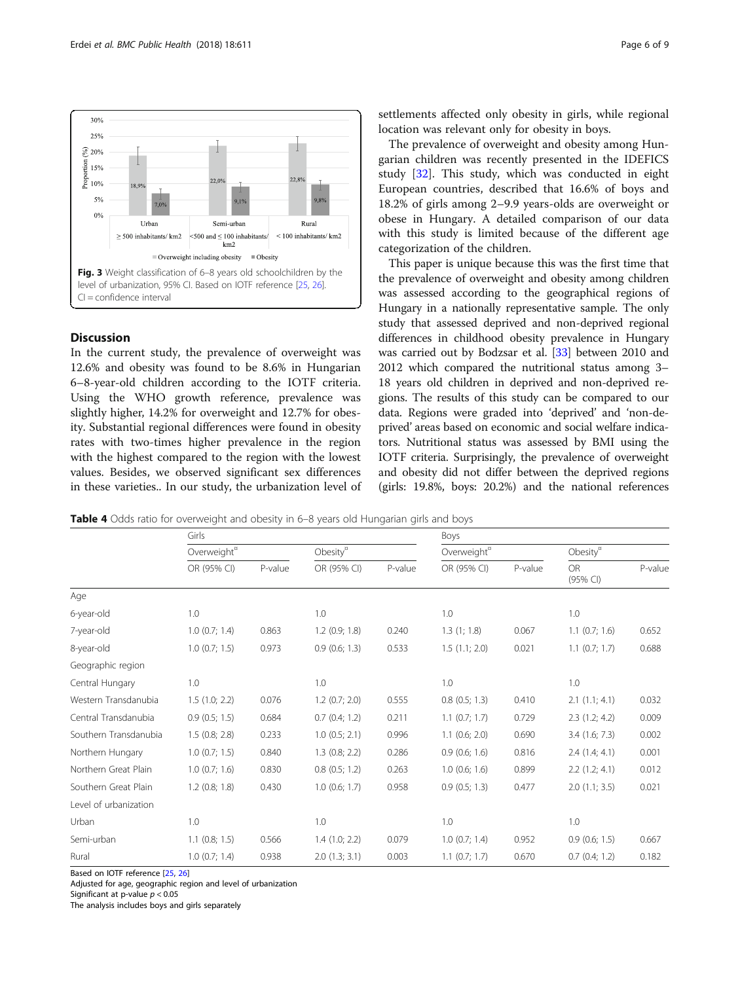<span id="page-5-0"></span>

# **Discussion**

In the current study, the prevalence of overweight was 12.6% and obesity was found to be 8.6% in Hungarian 6–8-year-old children according to the IOTF criteria. Using the WHO growth reference, prevalence was slightly higher, 14.2% for overweight and 12.7% for obesity. Substantial regional differences were found in obesity rates with two-times higher prevalence in the region with the highest compared to the region with the lowest values. Besides, we observed significant sex differences in these varieties.. In our study, the urbanization level of settlements affected only obesity in girls, while regional location was relevant only for obesity in boys.

The prevalence of overweight and obesity among Hungarian children was recently presented in the IDEFICS study [[32\]](#page-8-0). This study, which was conducted in eight European countries, described that 16.6% of boys and 18.2% of girls among 2–9.9 years-olds are overweight or obese in Hungary. A detailed comparison of our data with this study is limited because of the different age categorization of the children.

This paper is unique because this was the first time that the prevalence of overweight and obesity among children was assessed according to the geographical regions of Hungary in a nationally representative sample. The only study that assessed deprived and non-deprived regional differences in childhood obesity prevalence in Hungary was carried out by Bodzsar et al. [\[33\]](#page-8-0) between 2010 and 2012 which compared the nutritional status among 3– 18 years old children in deprived and non-deprived regions. The results of this study can be compared to our data. Regions were graded into 'deprived' and 'non-deprived' areas based on economic and social welfare indicators. Nutritional status was assessed by BMI using the IOTF criteria. Surprisingly, the prevalence of overweight and obesity did not differ between the deprived regions (girls: 19.8%, boys: 20.2%) and the national references

**Table 4** Odds ratio for overweight and obesity in 6–8 years old Hungarian girls and boys

|                       | Girls                   |         |                      |         | Boys                    |         |                       |         |
|-----------------------|-------------------------|---------|----------------------|---------|-------------------------|---------|-----------------------|---------|
|                       | Overweight <sup>¤</sup> |         | Obesity <sup>n</sup> |         | Overweight <sup>"</sup> |         | Obesity $\alpha$      |         |
|                       | OR (95% CI)             | P-value | OR (95% CI)          | P-value | OR (95% CI)             | P-value | <b>OR</b><br>(95% CI) | P-value |
| Age                   |                         |         |                      |         |                         |         |                       |         |
| 6-year-old            | 1.0                     |         | 1.0                  |         | 1.0                     |         | 1.0                   |         |
| 7-year-old            | $1.0$ (0.7; 1.4)        | 0.863   | $1.2$ (0.9; 1.8)     | 0.240   | 1.3(1; 1.8)             | 0.067   | $1.1$ (0.7; 1.6)      | 0.652   |
| 8-year-old            | $1.0$ (0.7; 1.5)        | 0.973   | $0.9$ (0.6; 1.3)     | 0.533   | 1.5(1.1; 2.0)           | 0.021   | $1.1$ (0.7; 1.7)      | 0.688   |
| Geographic region     |                         |         |                      |         |                         |         |                       |         |
| Central Hungary       | 1.0                     |         | 1.0                  |         | 1.0                     |         | 1.0                   |         |
| Western Transdanubia  | 1.5(1.0; 2.2)           | 0.076   | $1.2$ (0.7; 2.0)     | 0.555   | $0.8$ $(0.5; 1.3)$      | 0.410   | 2.1(1.1; 4.1)         | 0.032   |
| Central Transdanubia  | $0.9$ (0.5; 1.5)        | 0.684   | $0.7$ $(0.4; 1.2)$   | 0.211   | $1.1$ (0.7; 1.7)        | 0.729   | 2.3(1.2; 4.2)         | 0.009   |
| Southern Transdanubia | 1.5(0.8; 2.8)           | 0.233   | $1.0$ (0.5; 2.1)     | 0.996   | $1.1$ (0.6; 2.0)        | 0.690   | $3.4$ (1.6; 7.3)      | 0.002   |
| Northern Hungary      | $1.0$ (0.7; 1.5)        | 0.840   | $1.3$ (0.8; 2.2)     | 0.286   | $0.9$ (0.6; 1.6)        | 0.816   | 2.4(1.4; 4.1)         | 0.001   |
| Northern Great Plain  | $1.0$ (0.7; 1.6)        | 0.830   | $0.8$ $(0.5; 1.2)$   | 0.263   | $1.0$ (0.6; 1.6)        | 0.899   | 2.2(1.2; 4.1)         | 0.012   |
| Southern Great Plain  | $1.2$ (0.8; 1.8)        | 0.430   | $1.0$ (0.6; 1.7)     | 0.958   | $0.9$ $(0.5; 1.3)$      | 0.477   | 2.0(1.1; 3.5)         | 0.021   |
| Level of urbanization |                         |         |                      |         |                         |         |                       |         |
| Urban                 | 1.0                     |         | 1.0                  |         | 1.0                     |         | 1.0                   |         |
| Semi-urban            | $1.1$ (0.8; 1.5)        | 0.566   | $1.4$ $(1.0; 2.2)$   | 0.079   | $1.0$ (0.7; 1.4)        | 0.952   | $0.9$ (0.6; 1.5)      | 0.667   |
| Rural                 | $1.0$ (0.7; 1.4)        | 0.938   | $2.0$ $(1.3; 3.1)$   | 0.003   | $1.1$ (0.7; 1.7)        | 0.670   | $0.7$ $(0.4; 1.2)$    | 0.182   |

Based on IOTF reference [[25](#page-8-0), [26\]](#page-8-0)

Adjusted for age, geographic region and level of urbanization

Significant at p-value  $p < 0.05$ 

The analysis includes boys and girls separately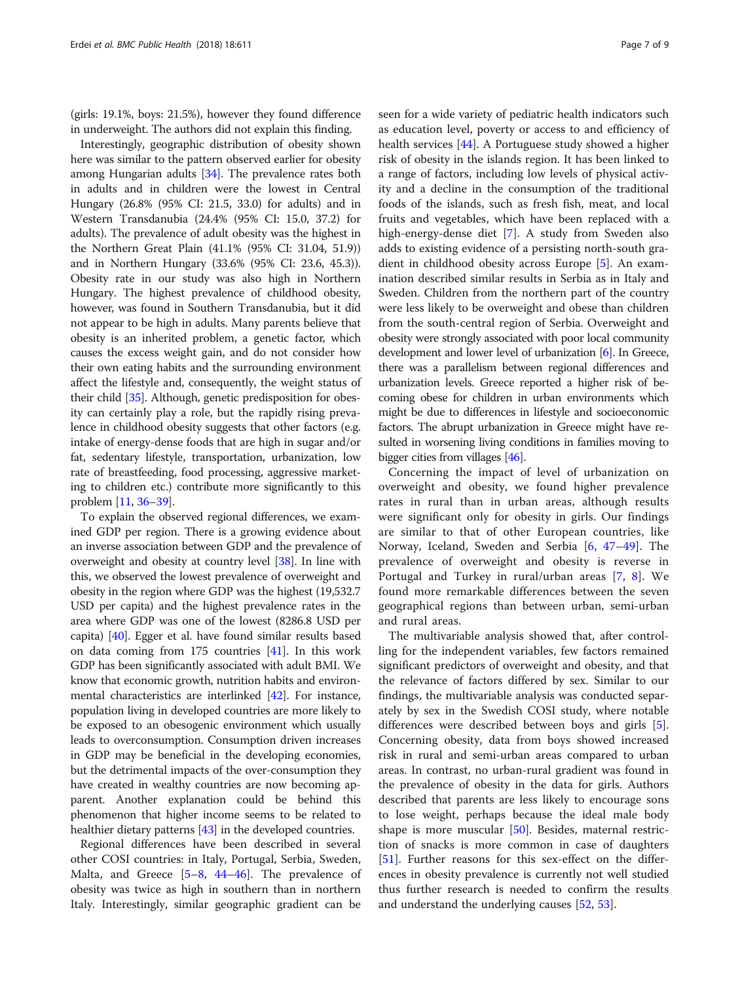(girls: 19.1%, boys: 21.5%), however they found difference in underweight. The authors did not explain this finding.

Interestingly, geographic distribution of obesity shown here was similar to the pattern observed earlier for obesity among Hungarian adults [\[34\]](#page-8-0). The prevalence rates both in adults and in children were the lowest in Central Hungary (26.8% (95% CI: 21.5, 33.0) for adults) and in Western Transdanubia (24.4% (95% CI: 15.0, 37.2) for adults). The prevalence of adult obesity was the highest in the Northern Great Plain (41.1% (95% CI: 31.04, 51.9)) and in Northern Hungary (33.6% (95% CI: 23.6, 45.3)). Obesity rate in our study was also high in Northern Hungary. The highest prevalence of childhood obesity, however, was found in Southern Transdanubia, but it did not appear to be high in adults. Many parents believe that obesity is an inherited problem, a genetic factor, which causes the excess weight gain, and do not consider how their own eating habits and the surrounding environment affect the lifestyle and, consequently, the weight status of their child [[35](#page-8-0)]. Although, genetic predisposition for obesity can certainly play a role, but the rapidly rising prevalence in childhood obesity suggests that other factors (e.g. intake of energy-dense foods that are high in sugar and/or fat, sedentary lifestyle, transportation, urbanization, low rate of breastfeeding, food processing, aggressive marketing to children etc.) contribute more significantly to this problem [\[11,](#page-7-0) [36](#page-8-0)–[39](#page-8-0)].

To explain the observed regional differences, we examined GDP per region. There is a growing evidence about an inverse association between GDP and the prevalence of overweight and obesity at country level [\[38\]](#page-8-0). In line with this, we observed the lowest prevalence of overweight and obesity in the region where GDP was the highest (19,532.7 USD per capita) and the highest prevalence rates in the area where GDP was one of the lowest (8286.8 USD per capita) [\[40\]](#page-8-0). Egger et al. have found similar results based on data coming from 175 countries [[41](#page-8-0)]. In this work GDP has been significantly associated with adult BMI. We know that economic growth, nutrition habits and environmental characteristics are interlinked [\[42\]](#page-8-0). For instance, population living in developed countries are more likely to be exposed to an obesogenic environment which usually leads to overconsumption. Consumption driven increases in GDP may be beneficial in the developing economies, but the detrimental impacts of the over-consumption they have created in wealthy countries are now becoming apparent. Another explanation could be behind this phenomenon that higher income seems to be related to healthier dietary patterns [\[43](#page-8-0)] in the developed countries.

Regional differences have been described in several other COSI countries: in Italy, Portugal, Serbia, Sweden, Malta, and Greece [[5](#page-7-0)–[8](#page-7-0), [44](#page-8-0)–[46](#page-8-0)]. The prevalence of obesity was twice as high in southern than in northern Italy. Interestingly, similar geographic gradient can be seen for a wide variety of pediatric health indicators such as education level, poverty or access to and efficiency of health services [[44\]](#page-8-0). A Portuguese study showed a higher risk of obesity in the islands region. It has been linked to a range of factors, including low levels of physical activity and a decline in the consumption of the traditional foods of the islands, such as fresh fish, meat, and local fruits and vegetables, which have been replaced with a high-energy-dense diet [\[7](#page-7-0)]. A study from Sweden also adds to existing evidence of a persisting north-south gradient in childhood obesity across Europe [\[5\]](#page-7-0). An examination described similar results in Serbia as in Italy and Sweden. Children from the northern part of the country were less likely to be overweight and obese than children from the south-central region of Serbia. Overweight and obesity were strongly associated with poor local community development and lower level of urbanization [\[6](#page-7-0)]. In Greece, there was a parallelism between regional differences and urbanization levels. Greece reported a higher risk of becoming obese for children in urban environments which might be due to differences in lifestyle and socioeconomic factors. The abrupt urbanization in Greece might have resulted in worsening living conditions in families moving to bigger cities from villages [\[46](#page-8-0)].

Concerning the impact of level of urbanization on overweight and obesity, we found higher prevalence rates in rural than in urban areas, although results were significant only for obesity in girls. Our findings are similar to that of other European countries, like Norway, Iceland, Sweden and Serbia [\[6](#page-7-0), [47](#page-8-0)–[49\]](#page-8-0). The prevalence of overweight and obesity is reverse in Portugal and Turkey in rural/urban areas [\[7](#page-7-0), [8\]](#page-7-0). We found more remarkable differences between the seven geographical regions than between urban, semi-urban and rural areas.

The multivariable analysis showed that, after controlling for the independent variables, few factors remained significant predictors of overweight and obesity, and that the relevance of factors differed by sex. Similar to our findings, the multivariable analysis was conducted separately by sex in the Swedish COSI study, where notable differences were described between boys and girls [\[5](#page-7-0)]. Concerning obesity, data from boys showed increased risk in rural and semi-urban areas compared to urban areas. In contrast, no urban-rural gradient was found in the prevalence of obesity in the data for girls. Authors described that parents are less likely to encourage sons to lose weight, perhaps because the ideal male body shape is more muscular [\[50\]](#page-8-0). Besides, maternal restriction of snacks is more common in case of daughters [[51\]](#page-8-0). Further reasons for this sex-effect on the differences in obesity prevalence is currently not well studied thus further research is needed to confirm the results and understand the underlying causes [\[52](#page-8-0), [53](#page-8-0)].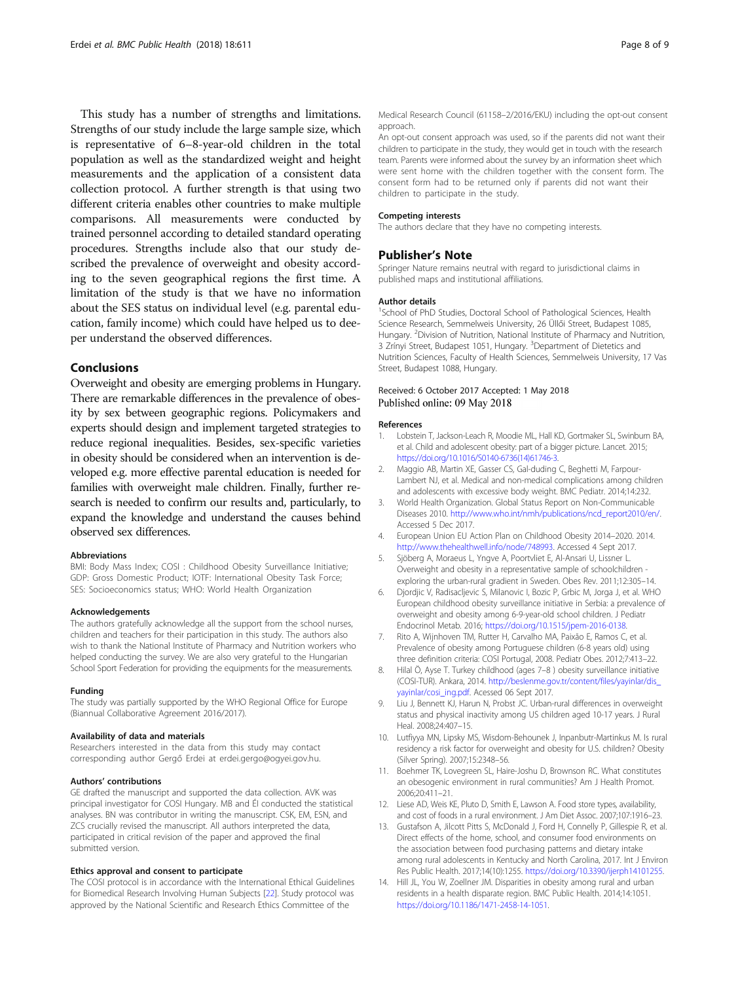<span id="page-7-0"></span>This study has a number of strengths and limitations. Strengths of our study include the large sample size, which is representative of 6–8-year-old children in the total population as well as the standardized weight and height measurements and the application of a consistent data collection protocol. A further strength is that using two different criteria enables other countries to make multiple comparisons. All measurements were conducted by trained personnel according to detailed standard operating procedures. Strengths include also that our study described the prevalence of overweight and obesity according to the seven geographical regions the first time. A limitation of the study is that we have no information about the SES status on individual level (e.g. parental education, family income) which could have helped us to deeper understand the observed differences.

# Conclusions

Overweight and obesity are emerging problems in Hungary. There are remarkable differences in the prevalence of obesity by sex between geographic regions. Policymakers and experts should design and implement targeted strategies to reduce regional inequalities. Besides, sex-specific varieties in obesity should be considered when an intervention is developed e.g. more effective parental education is needed for families with overweight male children. Finally, further research is needed to confirm our results and, particularly, to expand the knowledge and understand the causes behind observed sex differences.

#### Abbreviations

BMI: Body Mass Index; COSI : Childhood Obesity Surveillance Initiative; GDP: Gross Domestic Product; IOTF: International Obesity Task Force; SES: Socioeconomics status; WHO: World Health Organization

#### Acknowledgements

The authors gratefully acknowledge all the support from the school nurses, children and teachers for their participation in this study. The authors also wish to thank the National Institute of Pharmacy and Nutrition workers who helped conducting the survey. We are also very grateful to the Hungarian School Sport Federation for providing the equipments for the measurements.

#### Funding

The study was partially supported by the WHO Regional Office for Europe (Biannual Collaborative Agreement 2016/2017).

#### Availability of data and materials

Researchers interested in the data from this study may contact corresponding author Gergő Erdei at erdei.gergo@ogyei.gov.hu.

#### Authors' contributions

GE drafted the manuscript and supported the data collection. AVK was principal investigator for COSI Hungary. MB and ÉI conducted the statistical analyses. BN was contributor in writing the manuscript. CSK, EM, ESN, and ZCS crucially revised the manuscript. All authors interpreted the data, participated in critical revision of the paper and approved the final submitted version.

#### Ethics approval and consent to participate

The COSI protocol is in accordance with the International Ethical Guidelines for Biomedical Research Involving Human Subjects [[22](#page-8-0)]. Study protocol was approved by the National Scientific and Research Ethics Committee of the

Medical Research Council (61158–2/2016/EKU) including the opt-out consent approach.

An opt-out consent approach was used, so if the parents did not want their children to participate in the study, they would get in touch with the research team. Parents were informed about the survey by an information sheet which were sent home with the children together with the consent form. The consent form had to be returned only if parents did not want their children to participate in the study.

#### Competing interests

The authors declare that they have no competing interests.

# Publisher's Note

Springer Nature remains neutral with regard to jurisdictional claims in published maps and institutional affiliations.

#### Author details

<sup>1</sup>School of PhD Studies, Doctoral School of Pathological Sciences, Health Science Research, Semmelweis University, 26 Üllői Street, Budapest 1085, Hungary. <sup>2</sup> Division of Nutrition, National Institute of Pharmacy and Nutrition 3 Zrínyi Street, Budapest 1051, Hungary. <sup>3</sup>Department of Dietetics and Nutrition Sciences, Faculty of Health Sciences, Semmelweis University, 17 Vas Street, Budapest 1088, Hungary.

### Received: 6 October 2017 Accepted: 1 May 2018 Published online: 09 May 2018

#### References

- 1. Lobstein T, Jackson-Leach R, Moodie ML, Hall KD, Gortmaker SL, Swinburn BA, et al. Child and adolescent obesity: part of a bigger picture. Lancet. 2015; [https://doi.org/10.1016/S0140-6736\(14\)61746-3.](https://doi.org/10.1016/S0140-6736(14)61746-3)
- 2. Maggio AB, Martin XE, Gasser CS, Gal-duding C, Beghetti M, Farpour-Lambert NJ, et al. Medical and non-medical complications among children and adolescents with excessive body weight. BMC Pediatr. 2014;14:232.
- 3. World Health Organization. Global Status Report on Non-Communicable Diseases 2010. [http://www.who.int/nmh/publications/ncd\\_report2010/en/](http://www.who.int/nmh/publications/ncd_report2010/en). Accessed 5 Dec 2017.
- 4. European Union EU Action Plan on Childhood Obesity 2014–2020. 2014. <http://www.thehealthwell.info/node/748993>. Accessed 4 Sept 2017.
- 5. Sjöberg A, Moraeus L, Yngve A, Poortvliet E, Al-Ansari U, Lissner L. Overweight and obesity in a representative sample of schoolchildren exploring the urban-rural gradient in Sweden. Obes Rev. 2011;12:305–14.
- 6. Djordjic V, Radisacljevic S, Milanovic I, Bozic P, Grbic M, Jorga J, et al. WHO European childhood obesity surveillance initiative in Serbia: a prevalence of overweight and obesity among 6-9-year-old school children. J Pediatr Endocrinol Metab. 2016; [https://doi.org/10.1515/jpem-2016-0138.](https://doi.org/10.1515/jpem-2016-0138)
- 7. Rito A, Wijnhoven TM, Rutter H, Carvalho MA, Paixão E, Ramos C, et al. Prevalence of obesity among Portuguese children (6-8 years old) using three definition criteria: COSI Portugal, 2008. Pediatr Obes. 2012;7:413–22.
- 8. Hilal Ö, Ayse T. Turkey childhood (ages 7–8 ) obesity surveillance initiative (COSI-TUR). Ankara, 2014. [http://beslenme.gov.tr/content/files/yayinlar/dis\\_](http://beslenme.gov.tr/content/files/yayinlar/dis_yayinlar/cosi_ing.pdf) [yayinlar/cosi\\_ing.pdf](http://beslenme.gov.tr/content/files/yayinlar/dis_yayinlar/cosi_ing.pdf). Acessed 06 Sept 2017.
- 9. Liu J, Bennett KJ, Harun N, Probst JC. Urban-rural differences in overweight status and physical inactivity among US children aged 10-17 years. J Rural Heal. 2008;24:407–15.
- 10. Lutfiyya MN, Lipsky MS, Wisdom-Behounek J, Inpanbutr-Martinkus M. Is rural residency a risk factor for overweight and obesity for U.S. children? Obesity (Silver Spring). 2007;15:2348–56.
- 11. Boehmer TK, Lovegreen SL, Haire-Joshu D, Brownson RC. What constitutes an obesogenic environment in rural communities? Am J Health Promot. 2006;20:411–21.
- 12. Liese AD, Weis KE, Pluto D, Smith E, Lawson A. Food store types, availability, and cost of foods in a rural environment. J Am Diet Assoc. 2007;107:1916–23.
- 13. Gustafson A, Jilcott Pitts S, McDonald J, Ford H, Connelly P, Gillespie R, et al. Direct effects of the home, school, and consumer food environments on the association between food purchasing patterns and dietary intake among rural adolescents in Kentucky and North Carolina, 2017. Int J Environ Res Public Health. 2017;14(10):1255. [https://doi.org/10.3390/ijerph14101255.](https://doi.org/10.3390/ijerph14101255)
- 14. Hill JL, You W, Zoellner JM. Disparities in obesity among rural and urban residents in a health disparate region. BMC Public Health. 2014;14:1051. [https://doi.org/10.1186/1471-2458-14-1051.](https://doi.org/10.1186/1471-2458-14-1051)